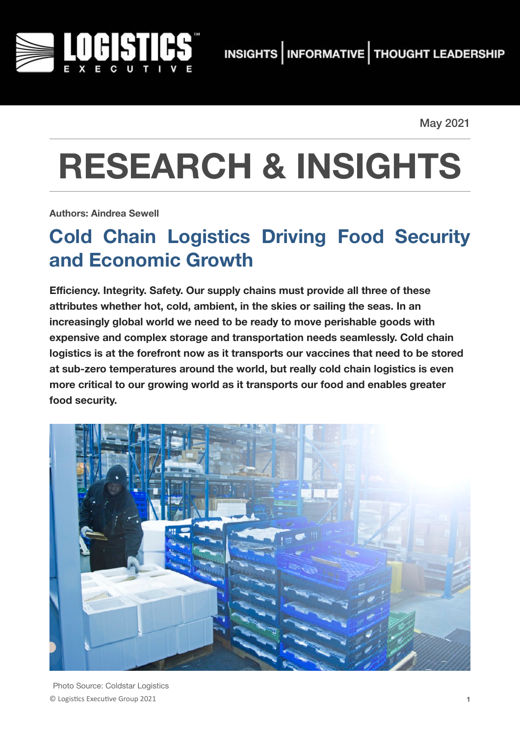

May 2021

# **RESEARCH & INSIGHTS**

**Authors: Aindrea Sewell**

# **Cold Chain Logistics Driving Food Security and Economic Growth**

**Efficiency. Integrity. Safety. Our supply chains must provide all three of these attributes whether hot, cold, ambient, in the skies or sailing the seas. In an increasingly global world we need to be ready to move perishable goods with expensive and complex storage and transportation needs seamlessly. Cold chain logistics is at the forefront now as it transports our vaccines that need to be stored at sub-zero temperatures around the world, but really cold chain logistics is even more critical to our growing world as it transports our food and enables greater food security.** 



© Logis(cs Execu(ve Group 2021 **1** Photo Source: Coldstar Logistics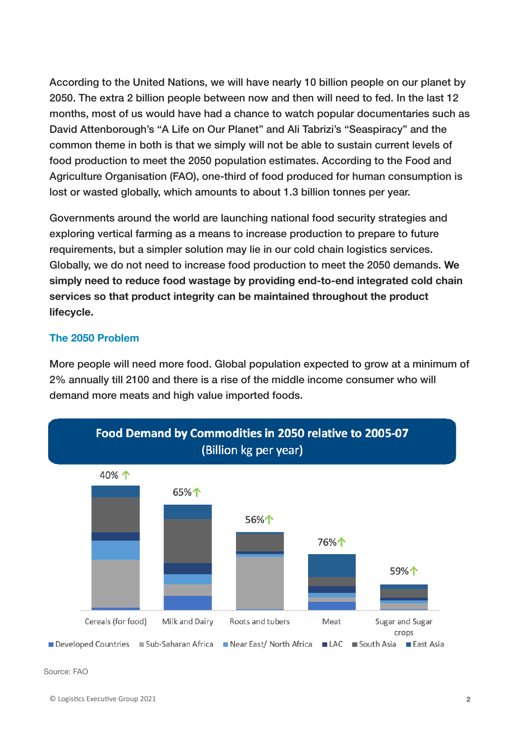According to the United Nations, we will have nearly 10 billion people on our planet by 2050. The extra 2 billion people between now and then will need to fed. In the last 12 months, most of us would have had a chance to watch popular documentaries such as David Attenborough's "A Life on Our Planet" and Ali Tabrizi's "Seaspiracy" and the common theme in both is that we simply will not be able to sustain current levels of food production to meet the 2050 population estimates. According to the Food and Agriculture Organisation (FAO), one-third of food produced for human consumption is lost or wasted globally, which amounts to about 1.3 billion tonnes per year.

Governments around the world are launching national food security strategies and exploring vertical farming as a means to increase production to prepare to future requirements, but a simpler solution may lie in our cold chain logistics services. Globally, we do not need to increase food production to meet the 2050 demands. **We simply need to reduce food wastage by providing end-to-end integrated cold chain services so that product integrity can be maintained throughout the product lifecycle.**

#### **The 2050 Problem**

More people will need more food. Global population expected to grow at a minimum of 2% annually till 2100 and there is a rise of the middle income consumer who will demand more meats and high value imported foods.

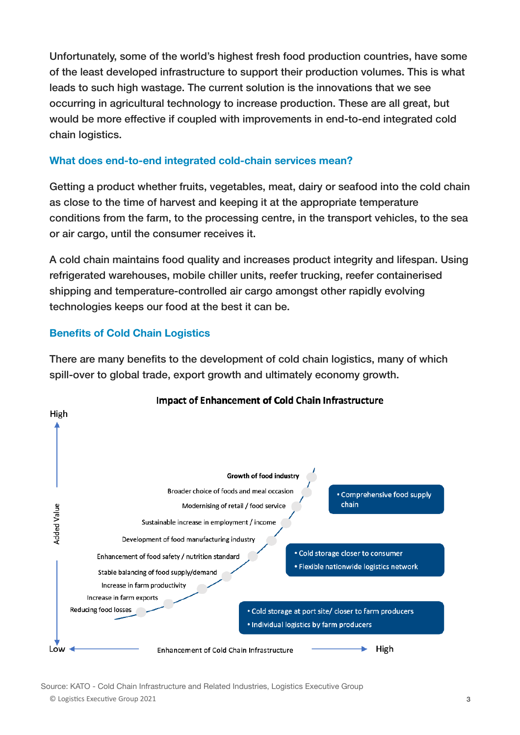Unfortunately, some of the world's highest fresh food production countries, have some of the least developed infrastructure to support their production volumes. This is what leads to such high wastage. The current solution is the innovations that we see occurring in agricultural technology to increase production. These are all great, but would be more effective if coupled with improvements in end-to-end integrated cold chain logistics.

#### **What does end-to-end integrated cold-chain services mean?**

Getting a product whether fruits, vegetables, meat, dairy or seafood into the cold chain as close to the time of harvest and keeping it at the appropriate temperature conditions from the farm, to the processing centre, in the transport vehicles, to the sea or air cargo, until the consumer receives it.

A cold chain maintains food quality and increases product integrity and lifespan. Using refrigerated warehouses, mobile chiller units, reefer trucking, reefer containerised shipping and temperature-controlled air cargo amongst other rapidly evolving technologies keeps our food at the best it can be.

### **Benefits of Cold Chain Logistics**

There are many benefits to the development of cold chain logistics, many of which spill-over to global trade, export growth and ultimately economy growth.



© Logis(cs Execu(ve Group 2021 **3** Source: KATO - Cold Chain Infrastructure and Related Industries, Logistics Executive Group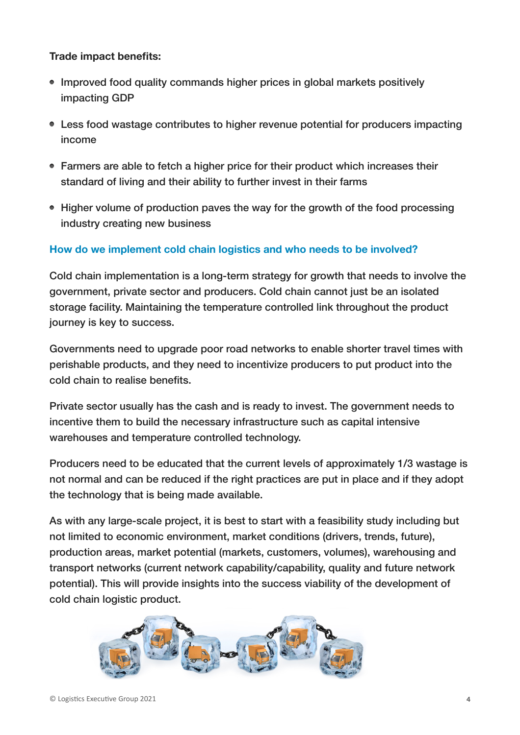#### **Trade impact benefits:**

- Improved food quality commands higher prices in global markets positively impacting GDP
- Less food wastage contributes to higher revenue potential for producers impacting income
- Farmers are able to fetch a higher price for their product which increases their standard of living and their ability to further invest in their farms
- Higher volume of production paves the way for the growth of the food processing industry creating new business

### **How do we implement cold chain logistics and who needs to be involved?**

Cold chain implementation is a long-term strategy for growth that needs to involve the government, private sector and producers. Cold chain cannot just be an isolated storage facility. Maintaining the temperature controlled link throughout the product journey is key to success.

Governments need to upgrade poor road networks to enable shorter travel times with perishable products, and they need to incentivize producers to put product into the cold chain to realise benefits.

Private sector usually has the cash and is ready to invest. The government needs to incentive them to build the necessary infrastructure such as capital intensive warehouses and temperature controlled technology.

Producers need to be educated that the current levels of approximately 1/3 wastage is not normal and can be reduced if the right practices are put in place and if they adopt the technology that is being made available.

As with any large-scale project, it is best to start with a feasibility study including but not limited to economic environment, market conditions (drivers, trends, future), production areas, market potential (markets, customers, volumes), warehousing and transport networks (current network capability/capability, quality and future network potential). This will provide insights into the success viability of the development of cold chain logistic product.

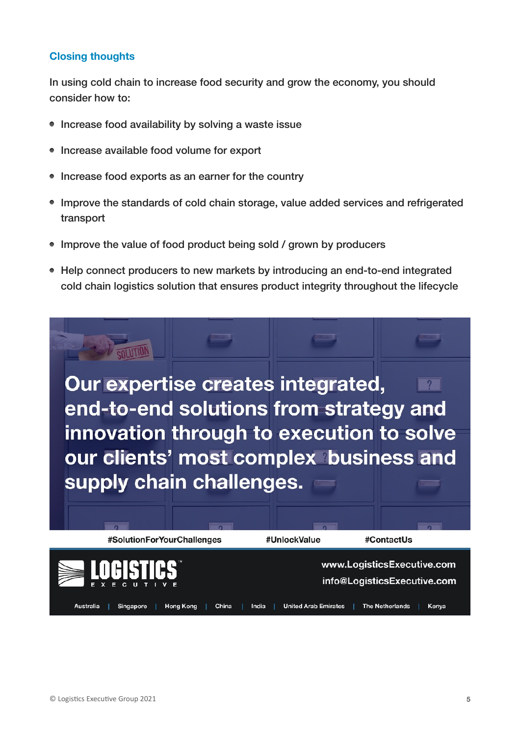#### **Closing thoughts**

In using cold chain to increase food security and grow the economy, you should consider how to:

- Increase food availability by solving a waste issue
- Increase available food volume for export
- Increase food exports as an earner for the country
- Improve the standards of cold chain storage, value added services and refrigerated transport
- Improve the value of food product being sold / grown by producers
- Help connect producers to new markets by introducing an end-to-end integrated cold chain logistics solution that ensures product integrity throughout the lifecycle